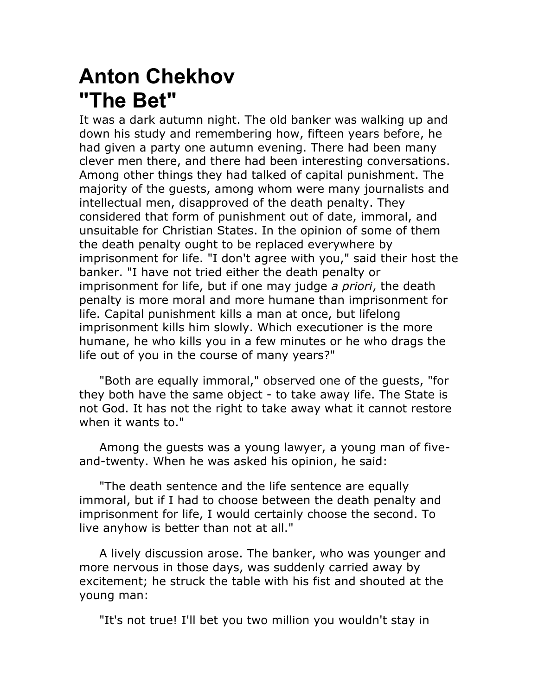## **Anton Chekhov "The Bet"**

It was a dark autumn night. The old banker was walking up and down his study and remembering how, fifteen years before, he had given a party one autumn evening. There had been many clever men there, and there had been interesting conversations. Among other things they had talked of capital punishment. The majority of the guests, among whom were many journalists and intellectual men, disapproved of the death penalty. They considered that form of punishment out of date, immoral, and unsuitable for Christian States. In the opinion of some of them the death penalty ought to be replaced everywhere by imprisonment for life. "I don't agree with you," said their host the banker. "I have not tried either the death penalty or imprisonment for life, but if one may judge *a priori*, the death penalty is more moral and more humane than imprisonment for life. Capital punishment kills a man at once, but lifelong imprisonment kills him slowly. Which executioner is the more humane, he who kills you in a few minutes or he who drags the life out of you in the course of many years?"

"Both are equally immoral," observed one of the guests, "for they both have the same object - to take away life. The State is not God. It has not the right to take away what it cannot restore when it wants to."

Among the guests was a young lawyer, a young man of fiveand-twenty. When he was asked his opinion, he said:

"The death sentence and the life sentence are equally immoral, but if I had to choose between the death penalty and imprisonment for life, I would certainly choose the second. To live anyhow is better than not at all."

A lively discussion arose. The banker, who was younger and more nervous in those days, was suddenly carried away by excitement; he struck the table with his fist and shouted at the young man:

"It's not true! I'll bet you two million you wouldn't stay in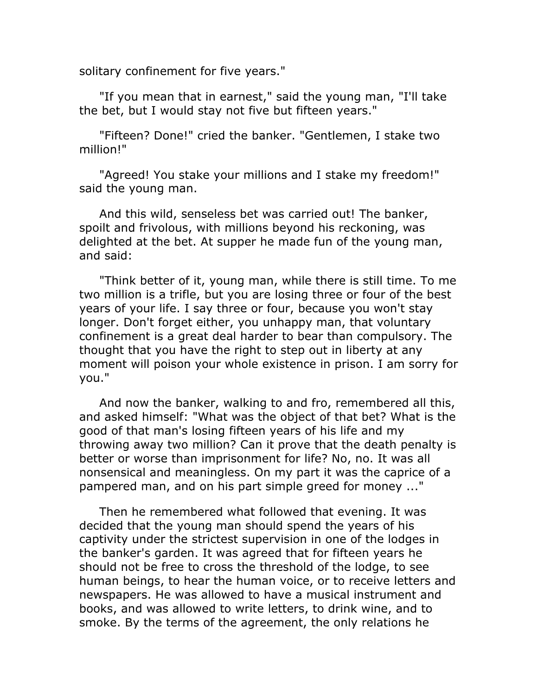solitary confinement for five years."

"If you mean that in earnest," said the young man, "I'll take the bet, but I would stay not five but fifteen years."

"Fifteen? Done!" cried the banker. "Gentlemen, I stake two million!"

"Agreed! You stake your millions and I stake my freedom!" said the young man.

And this wild, senseless bet was carried out! The banker, spoilt and frivolous, with millions beyond his reckoning, was delighted at the bet. At supper he made fun of the young man, and said:

"Think better of it, young man, while there is still time. To me two million is a trifle, but you are losing three or four of the best years of your life. I say three or four, because you won't stay longer. Don't forget either, you unhappy man, that voluntary confinement is a great deal harder to bear than compulsory. The thought that you have the right to step out in liberty at any moment will poison your whole existence in prison. I am sorry for you."

And now the banker, walking to and fro, remembered all this, and asked himself: "What was the object of that bet? What is the good of that man's losing fifteen years of his life and my throwing away two million? Can it prove that the death penalty is better or worse than imprisonment for life? No, no. It was all nonsensical and meaningless. On my part it was the caprice of a pampered man, and on his part simple greed for money ..."

Then he remembered what followed that evening. It was decided that the young man should spend the years of his captivity under the strictest supervision in one of the lodges in the banker's garden. It was agreed that for fifteen years he should not be free to cross the threshold of the lodge, to see human beings, to hear the human voice, or to receive letters and newspapers. He was allowed to have a musical instrument and books, and was allowed to write letters, to drink wine, and to smoke. By the terms of the agreement, the only relations he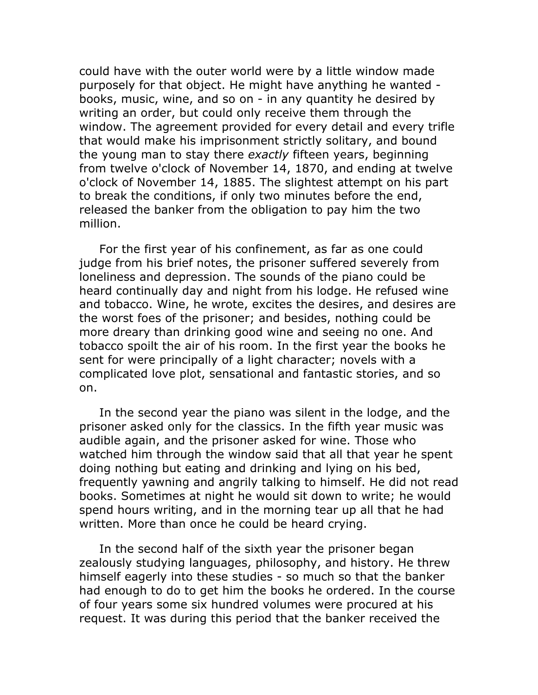could have with the outer world were by a little window made purposely for that object. He might have anything he wanted books, music, wine, and so on - in any quantity he desired by writing an order, but could only receive them through the window. The agreement provided for every detail and every trifle that would make his imprisonment strictly solitary, and bound the young man to stay there *exactly* fifteen years, beginning from twelve o'clock of November 14, 1870, and ending at twelve o'clock of November 14, 1885. The slightest attempt on his part to break the conditions, if only two minutes before the end, released the banker from the obligation to pay him the two million.

For the first year of his confinement, as far as one could judge from his brief notes, the prisoner suffered severely from loneliness and depression. The sounds of the piano could be heard continually day and night from his lodge. He refused wine and tobacco. Wine, he wrote, excites the desires, and desires are the worst foes of the prisoner; and besides, nothing could be more dreary than drinking good wine and seeing no one. And tobacco spoilt the air of his room. In the first year the books he sent for were principally of a light character; novels with a complicated love plot, sensational and fantastic stories, and so on.

In the second year the piano was silent in the lodge, and the prisoner asked only for the classics. In the fifth year music was audible again, and the prisoner asked for wine. Those who watched him through the window said that all that year he spent doing nothing but eating and drinking and lying on his bed, frequently yawning and angrily talking to himself. He did not read books. Sometimes at night he would sit down to write; he would spend hours writing, and in the morning tear up all that he had written. More than once he could be heard crying.

In the second half of the sixth year the prisoner began zealously studying languages, philosophy, and history. He threw himself eagerly into these studies - so much so that the banker had enough to do to get him the books he ordered. In the course of four years some six hundred volumes were procured at his request. It was during this period that the banker received the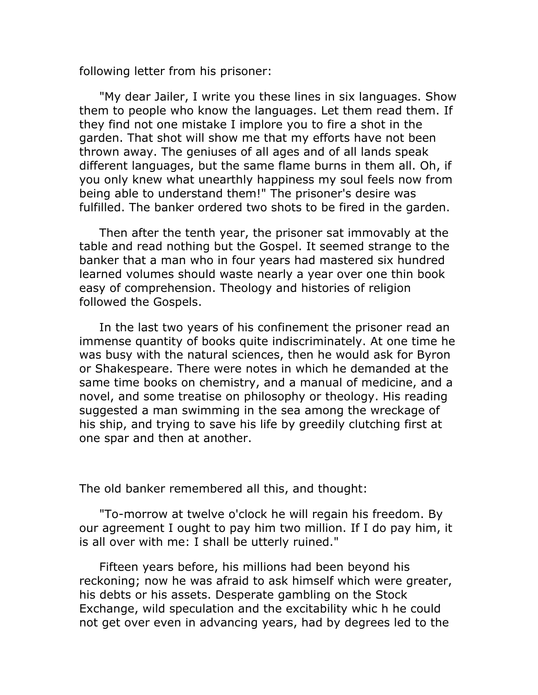following letter from his prisoner:

"My dear Jailer, I write you these lines in six languages. Show them to people who know the languages. Let them read them. If they find not one mistake I implore you to fire a shot in the garden. That shot will show me that my efforts have not been thrown away. The geniuses of all ages and of all lands speak different languages, but the same flame burns in them all. Oh, if you only knew what unearthly happiness my soul feels now from being able to understand them!" The prisoner's desire was fulfilled. The banker ordered two shots to be fired in the garden.

Then after the tenth year, the prisoner sat immovably at the table and read nothing but the Gospel. It seemed strange to the banker that a man who in four years had mastered six hundred learned volumes should waste nearly a year over one thin book easy of comprehension. Theology and histories of religion followed the Gospels.

In the last two years of his confinement the prisoner read an immense quantity of books quite indiscriminately. At one time he was busy with the natural sciences, then he would ask for Byron or Shakespeare. There were notes in which he demanded at the same time books on chemistry, and a manual of medicine, and a novel, and some treatise on philosophy or theology. His reading suggested a man swimming in the sea among the wreckage of his ship, and trying to save his life by greedily clutching first at one spar and then at another.

The old banker remembered all this, and thought:

"To-morrow at twelve o'clock he will regain his freedom. By our agreement I ought to pay him two million. If I do pay him, it is all over with me: I shall be utterly ruined."

Fifteen years before, his millions had been beyond his reckoning; now he was afraid to ask himself which were greater, his debts or his assets. Desperate gambling on the Stock Exchange, wild speculation and the excitability whic h he could not get over even in advancing years, had by degrees led to the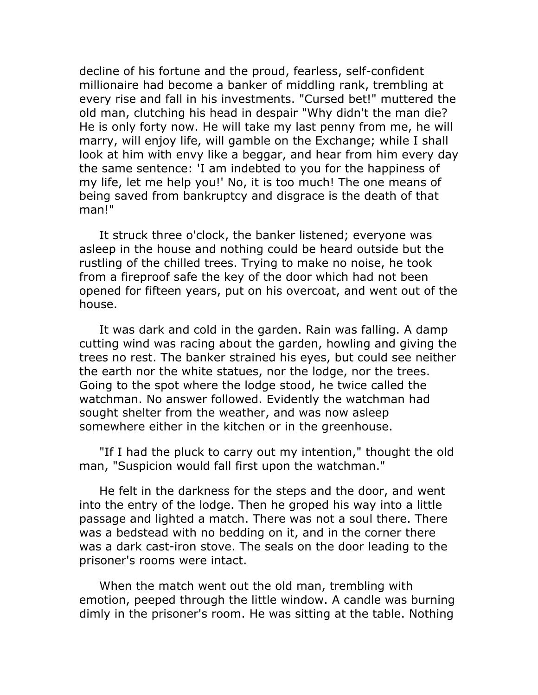decline of his fortune and the proud, fearless, self-confident millionaire had become a banker of middling rank, trembling at every rise and fall in his investments. "Cursed bet!" muttered the old man, clutching his head in despair "Why didn't the man die? He is only forty now. He will take my last penny from me, he will marry, will enjoy life, will gamble on the Exchange; while I shall look at him with envy like a beggar, and hear from him every day the same sentence: 'I am indebted to you for the happiness of my life, let me help you!' No, it is too much! The one means of being saved from bankruptcy and disgrace is the death of that man!"

It struck three o'clock, the banker listened; everyone was asleep in the house and nothing could be heard outside but the rustling of the chilled trees. Trying to make no noise, he took from a fireproof safe the key of the door which had not been opened for fifteen years, put on his overcoat, and went out of the house.

It was dark and cold in the garden. Rain was falling. A damp cutting wind was racing about the garden, howling and giving the trees no rest. The banker strained his eyes, but could see neither the earth nor the white statues, nor the lodge, nor the trees. Going to the spot where the lodge stood, he twice called the watchman. No answer followed. Evidently the watchman had sought shelter from the weather, and was now asleep somewhere either in the kitchen or in the greenhouse.

"If I had the pluck to carry out my intention," thought the old man, "Suspicion would fall first upon the watchman."

He felt in the darkness for the steps and the door, and went into the entry of the lodge. Then he groped his way into a little passage and lighted a match. There was not a soul there. There was a bedstead with no bedding on it, and in the corner there was a dark cast-iron stove. The seals on the door leading to the prisoner's rooms were intact.

When the match went out the old man, trembling with emotion, peeped through the little window. A candle was burning dimly in the prisoner's room. He was sitting at the table. Nothing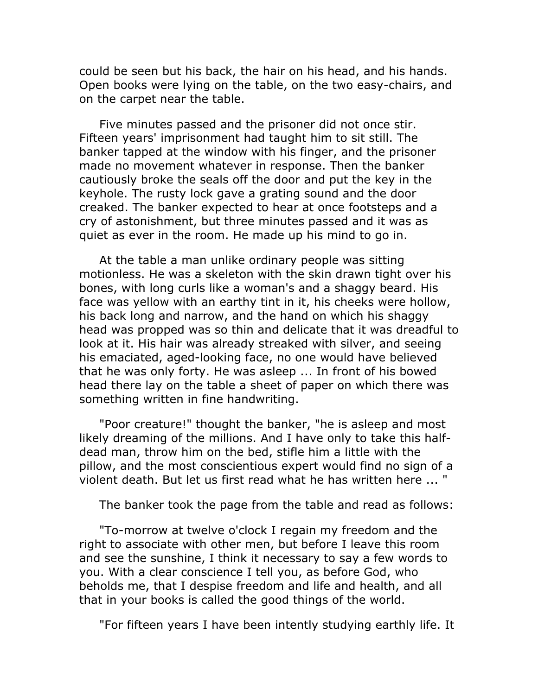could be seen but his back, the hair on his head, and his hands. Open books were lying on the table, on the two easy-chairs, and on the carpet near the table.

Five minutes passed and the prisoner did not once stir. Fifteen years' imprisonment had taught him to sit still. The banker tapped at the window with his finger, and the prisoner made no movement whatever in response. Then the banker cautiously broke the seals off the door and put the key in the keyhole. The rusty lock gave a grating sound and the door creaked. The banker expected to hear at once footsteps and a cry of astonishment, but three minutes passed and it was as quiet as ever in the room. He made up his mind to go in.

At the table a man unlike ordinary people was sitting motionless. He was a skeleton with the skin drawn tight over his bones, with long curls like a woman's and a shaggy beard. His face was yellow with an earthy tint in it, his cheeks were hollow, his back long and narrow, and the hand on which his shaggy head was propped was so thin and delicate that it was dreadful to look at it. His hair was already streaked with silver, and seeing his emaciated, aged-looking face, no one would have believed that he was only forty. He was asleep ... In front of his bowed head there lay on the table a sheet of paper on which there was something written in fine handwriting.

"Poor creature!" thought the banker, "he is asleep and most likely dreaming of the millions. And I have only to take this halfdead man, throw him on the bed, stifle him a little with the pillow, and the most conscientious expert would find no sign of a violent death. But let us first read what he has written here ... "

The banker took the page from the table and read as follows:

"To-morrow at twelve o'clock I regain my freedom and the right to associate with other men, but before I leave this room and see the sunshine, I think it necessary to say a few words to you. With a clear conscience I tell you, as before God, who beholds me, that I despise freedom and life and health, and all that in your books is called the good things of the world.

"For fifteen years I have been intently studying earthly life. It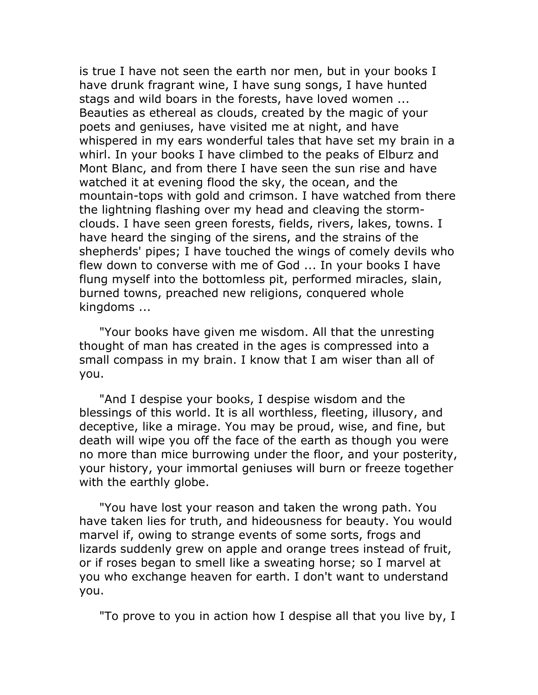is true I have not seen the earth nor men, but in your books I have drunk fragrant wine, I have sung songs, I have hunted stags and wild boars in the forests, have loved women ... Beauties as ethereal as clouds, created by the magic of your poets and geniuses, have visited me at night, and have whispered in my ears wonderful tales that have set my brain in a whirl. In your books I have climbed to the peaks of Elburz and Mont Blanc, and from there I have seen the sun rise and have watched it at evening flood the sky, the ocean, and the mountain-tops with gold and crimson. I have watched from there the lightning flashing over my head and cleaving the stormclouds. I have seen green forests, fields, rivers, lakes, towns. I have heard the singing of the sirens, and the strains of the shepherds' pipes; I have touched the wings of comely devils who flew down to converse with me of God ... In your books I have flung myself into the bottomless pit, performed miracles, slain, burned towns, preached new religions, conquered whole kingdoms ...

"Your books have given me wisdom. All that the unresting thought of man has created in the ages is compressed into a small compass in my brain. I know that I am wiser than all of you.

"And I despise your books, I despise wisdom and the blessings of this world. It is all worthless, fleeting, illusory, and deceptive, like a mirage. You may be proud, wise, and fine, but death will wipe you off the face of the earth as though you were no more than mice burrowing under the floor, and your posterity, your history, your immortal geniuses will burn or freeze together with the earthly globe.

"You have lost your reason and taken the wrong path. You have taken lies for truth, and hideousness for beauty. You would marvel if, owing to strange events of some sorts, frogs and lizards suddenly grew on apple and orange trees instead of fruit, or if roses began to smell like a sweating horse; so I marvel at you who exchange heaven for earth. I don't want to understand you.

"To prove to you in action how I despise all that you live by, I